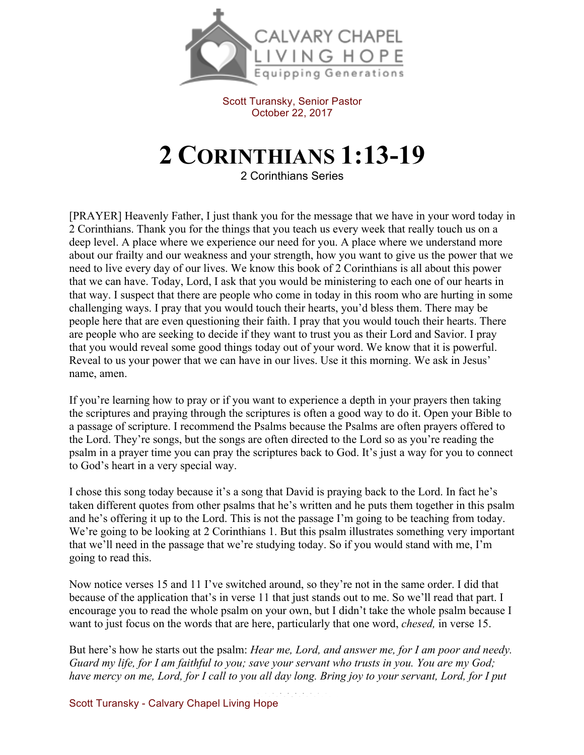

Scott Turansky, Senior Pastor October 22, 2017

## **2 CORINTHIANS 1:13-19**

2 Corinthians Series

[PRAYER] Heavenly Father, I just thank you for the message that we have in your word today in 2 Corinthians. Thank you for the things that you teach us every week that really touch us on a deep level. A place where we experience our need for you. A place where we understand more about our frailty and our weakness and your strength, how you want to give us the power that we need to live every day of our lives. We know this book of 2 Corinthians is all about this power that we can have. Today, Lord, I ask that you would be ministering to each one of our hearts in that way. I suspect that there are people who come in today in this room who are hurting in some challenging ways. I pray that you would touch their hearts, you'd bless them. There may be people here that are even questioning their faith. I pray that you would touch their hearts. There are people who are seeking to decide if they want to trust you as their Lord and Savior. I pray that you would reveal some good things today out of your word. We know that it is powerful. Reveal to us your power that we can have in our lives. Use it this morning. We ask in Jesus' name, amen.

If you're learning how to pray or if you want to experience a depth in your prayers then taking the scriptures and praying through the scriptures is often a good way to do it. Open your Bible to a passage of scripture. I recommend the Psalms because the Psalms are often prayers offered to the Lord. They're songs, but the songs are often directed to the Lord so as you're reading the psalm in a prayer time you can pray the scriptures back to God. It's just a way for you to connect to God's heart in a very special way.

I chose this song today because it's a song that David is praying back to the Lord. In fact he's taken different quotes from other psalms that he's written and he puts them together in this psalm and he's offering it up to the Lord. This is not the passage I'm going to be teaching from today. We're going to be looking at 2 Corinthians 1. But this psalm illustrates something very important that we'll need in the passage that we're studying today. So if you would stand with me, I'm going to read this.

Now notice verses 15 and 11 I've switched around, so they're not in the same order. I did that because of the application that's in verse 11 that just stands out to me. So we'll read that part. I encourage you to read the whole psalm on your own, but I didn't take the whole psalm because I want to just focus on the words that are here, particularly that one word, *chesed,* in verse 15.

But here's how he starts out the psalm: *Hear me, Lord, and answer me, for I am poor and needy. Guard my life, for I am faithful to you; save your servant who trusts in you. You are my God; have mercy on me, Lord, for I call to you all day long. Bring joy to your servant, Lord, for I put* 

Scott Turansky - Calvary Chapel Living Hope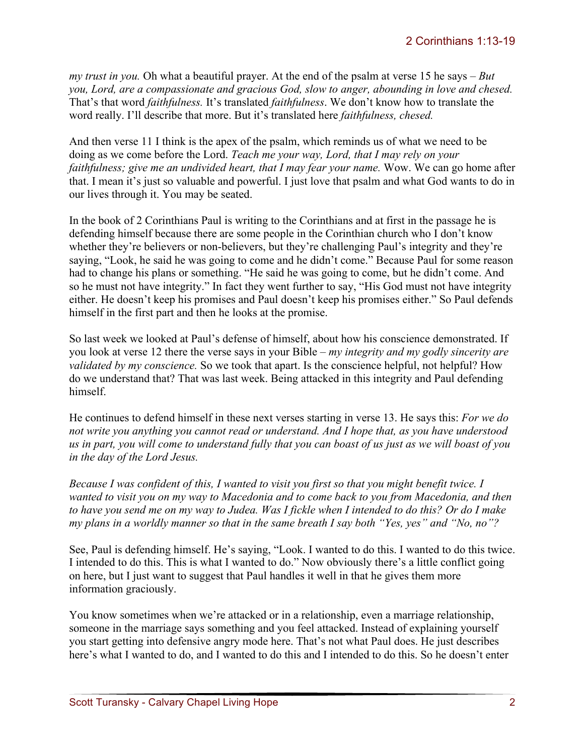*my trust in you.* Oh what a beautiful prayer. At the end of the psalm at verse 15 he says – *But you, Lord, are a compassionate and gracious God, slow to anger, abounding in love and chesed.*  That's that word *faithfulness.* It's translated *faithfulness*. We don't know how to translate the word really. I'll describe that more. But it's translated here *faithfulness, chesed.*

And then verse 11 I think is the apex of the psalm, which reminds us of what we need to be doing as we come before the Lord. *Teach me your way, Lord, that I may rely on your faithfulness; give me an undivided heart, that I may fear your name.* Wow. We can go home after that. I mean it's just so valuable and powerful. I just love that psalm and what God wants to do in our lives through it. You may be seated.

In the book of 2 Corinthians Paul is writing to the Corinthians and at first in the passage he is defending himself because there are some people in the Corinthian church who I don't know whether they're believers or non-believers, but they're challenging Paul's integrity and they're saying, "Look, he said he was going to come and he didn't come." Because Paul for some reason had to change his plans or something. "He said he was going to come, but he didn't come. And so he must not have integrity." In fact they went further to say, "His God must not have integrity either. He doesn't keep his promises and Paul doesn't keep his promises either." So Paul defends himself in the first part and then he looks at the promise.

So last week we looked at Paul's defense of himself, about how his conscience demonstrated. If you look at verse 12 there the verse says in your Bible – *my integrity and my godly sincerity are validated by my conscience.* So we took that apart. Is the conscience helpful, not helpful? How do we understand that? That was last week. Being attacked in this integrity and Paul defending himself.

He continues to defend himself in these next verses starting in verse 13. He says this: *For we do not write you anything you cannot read or understand. And I hope that, as you have understood us in part, you will come to understand fully that you can boast of us just as we will boast of you in the day of the Lord Jesus.*

*Because I was confident of this, I wanted to visit you first so that you might benefit twice. I wanted to visit you on my way to Macedonia and to come back to you from Macedonia, and then to have you send me on my way to Judea. Was I fickle when I intended to do this? Or do I make my plans in a worldly manner so that in the same breath I say both "Yes, yes" and "No, no"?*

See, Paul is defending himself. He's saying, "Look. I wanted to do this. I wanted to do this twice. I intended to do this. This is what I wanted to do." Now obviously there's a little conflict going on here, but I just want to suggest that Paul handles it well in that he gives them more information graciously.

You know sometimes when we're attacked or in a relationship, even a marriage relationship, someone in the marriage says something and you feel attacked. Instead of explaining yourself you start getting into defensive angry mode here. That's not what Paul does. He just describes here's what I wanted to do, and I wanted to do this and I intended to do this. So he doesn't enter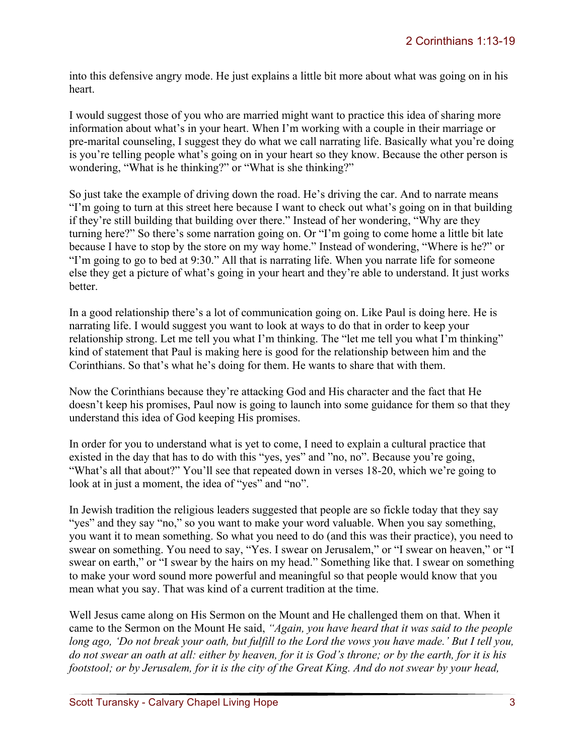into this defensive angry mode. He just explains a little bit more about what was going on in his heart.

I would suggest those of you who are married might want to practice this idea of sharing more information about what's in your heart. When I'm working with a couple in their marriage or pre-marital counseling, I suggest they do what we call narrating life. Basically what you're doing is you're telling people what's going on in your heart so they know. Because the other person is wondering, "What is he thinking?" or "What is she thinking?"

So just take the example of driving down the road. He's driving the car. And to narrate means "I'm going to turn at this street here because I want to check out what's going on in that building if they're still building that building over there." Instead of her wondering, "Why are they turning here?" So there's some narration going on. Or "I'm going to come home a little bit late because I have to stop by the store on my way home." Instead of wondering, "Where is he?" or "I'm going to go to bed at 9:30." All that is narrating life. When you narrate life for someone else they get a picture of what's going in your heart and they're able to understand. It just works better.

In a good relationship there's a lot of communication going on. Like Paul is doing here. He is narrating life. I would suggest you want to look at ways to do that in order to keep your relationship strong. Let me tell you what I'm thinking. The "let me tell you what I'm thinking" kind of statement that Paul is making here is good for the relationship between him and the Corinthians. So that's what he's doing for them. He wants to share that with them.

Now the Corinthians because they're attacking God and His character and the fact that He doesn't keep his promises, Paul now is going to launch into some guidance for them so that they understand this idea of God keeping His promises.

In order for you to understand what is yet to come, I need to explain a cultural practice that existed in the day that has to do with this "yes, yes" and "no, no". Because you're going, "What's all that about?" You'll see that repeated down in verses 18-20, which we're going to look at in just a moment, the idea of "yes" and "no".

In Jewish tradition the religious leaders suggested that people are so fickle today that they say "yes" and they say "no," so you want to make your word valuable. When you say something, you want it to mean something. So what you need to do (and this was their practice), you need to swear on something. You need to say, "Yes. I swear on Jerusalem," or "I swear on heaven," or "I swear on earth," or "I swear by the hairs on my head." Something like that. I swear on something to make your word sound more powerful and meaningful so that people would know that you mean what you say. That was kind of a current tradition at the time.

Well Jesus came along on His Sermon on the Mount and He challenged them on that. When it came to the Sermon on the Mount He said, *"Again, you have heard that it was said to the people long ago, 'Do not break your oath, but fulfill to the Lord the vows you have made.' But I tell you, do not swear an oath at all: either by heaven, for it is God's throne; or by the earth, for it is his footstool; or by Jerusalem, for it is the city of the Great King. And do not swear by your head,*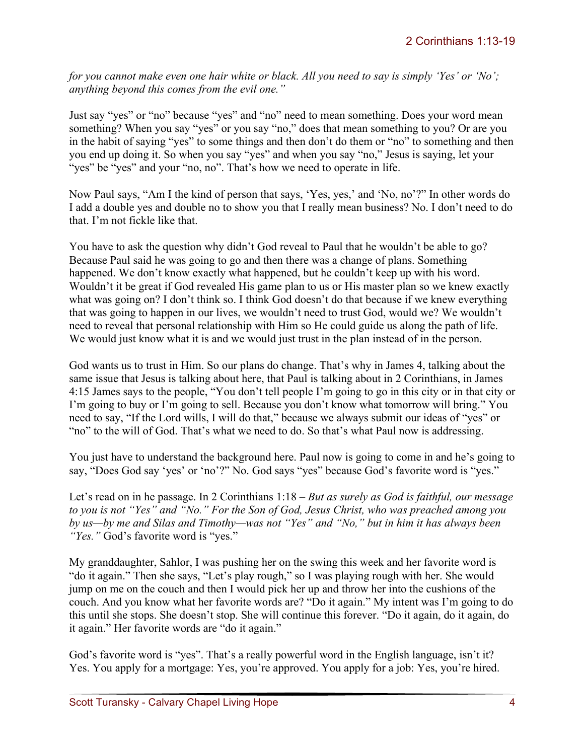*for you cannot make even one hair white or black. All you need to say is simply 'Yes' or 'No'; anything beyond this comes from the evil one."* 

Just say "yes" or "no" because "yes" and "no" need to mean something. Does your word mean something? When you say "yes" or you say "no," does that mean something to you? Or are you in the habit of saying "yes" to some things and then don't do them or "no" to something and then you end up doing it. So when you say "yes" and when you say "no," Jesus is saying, let your "yes" be "yes" and your "no, no". That's how we need to operate in life.

Now Paul says, "Am I the kind of person that says, 'Yes, yes,' and 'No, no'?" In other words do I add a double yes and double no to show you that I really mean business? No. I don't need to do that. I'm not fickle like that.

You have to ask the question why didn't God reveal to Paul that he wouldn't be able to go? Because Paul said he was going to go and then there was a change of plans. Something happened. We don't know exactly what happened, but he couldn't keep up with his word. Wouldn't it be great if God revealed His game plan to us or His master plan so we knew exactly what was going on? I don't think so. I think God doesn't do that because if we knew everything that was going to happen in our lives, we wouldn't need to trust God, would we? We wouldn't need to reveal that personal relationship with Him so He could guide us along the path of life. We would just know what it is and we would just trust in the plan instead of in the person.

God wants us to trust in Him. So our plans do change. That's why in James 4, talking about the same issue that Jesus is talking about here, that Paul is talking about in 2 Corinthians, in James 4:15 James says to the people, "You don't tell people I'm going to go in this city or in that city or I'm going to buy or I'm going to sell. Because you don't know what tomorrow will bring." You need to say, "If the Lord wills, I will do that," because we always submit our ideas of "yes" or "no" to the will of God. That's what we need to do. So that's what Paul now is addressing.

You just have to understand the background here. Paul now is going to come in and he's going to say, "Does God say 'yes' or 'no'?" No. God says "yes" because God's favorite word is "yes."

Let's read on in he passage. In 2 Corinthians 1:18 – *But as surely as God is faithful, our message to you is not "Yes" and "No." For the Son of God, Jesus Christ, who was preached among you by us—by me and Silas and Timothy—was not "Yes" and "No," but in him it has always been "Yes."* God's favorite word is "yes."

My granddaughter, Sahlor, I was pushing her on the swing this week and her favorite word is "do it again." Then she says, "Let's play rough," so I was playing rough with her. She would jump on me on the couch and then I would pick her up and throw her into the cushions of the couch. And you know what her favorite words are? "Do it again." My intent was I'm going to do this until she stops. She doesn't stop. She will continue this forever. "Do it again, do it again, do it again." Her favorite words are "do it again."

God's favorite word is "yes". That's a really powerful word in the English language, isn't it? Yes. You apply for a mortgage: Yes, you're approved. You apply for a job: Yes, you're hired.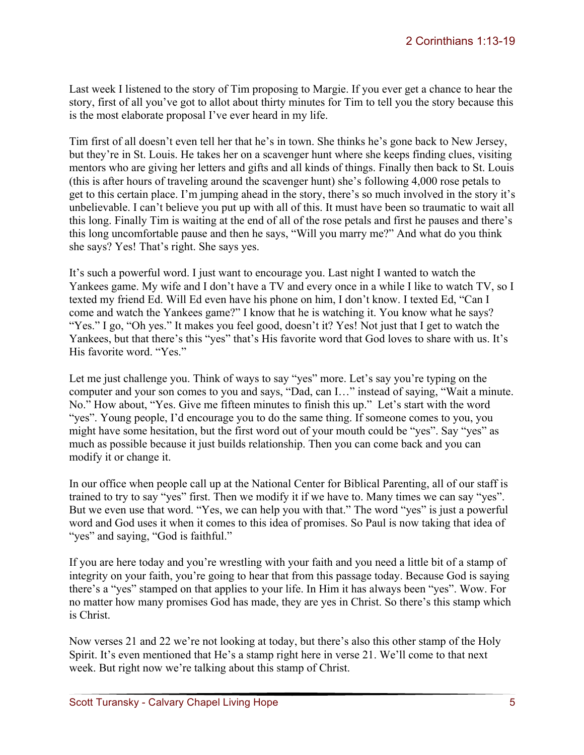Last week I listened to the story of Tim proposing to Margie. If you ever get a chance to hear the story, first of all you've got to allot about thirty minutes for Tim to tell you the story because this is the most elaborate proposal I've ever heard in my life.

Tim first of all doesn't even tell her that he's in town. She thinks he's gone back to New Jersey, but they're in St. Louis. He takes her on a scavenger hunt where she keeps finding clues, visiting mentors who are giving her letters and gifts and all kinds of things. Finally then back to St. Louis (this is after hours of traveling around the scavenger hunt) she's following 4,000 rose petals to get to this certain place. I'm jumping ahead in the story, there's so much involved in the story it's unbelievable. I can't believe you put up with all of this. It must have been so traumatic to wait all this long. Finally Tim is waiting at the end of all of the rose petals and first he pauses and there's this long uncomfortable pause and then he says, "Will you marry me?" And what do you think she says? Yes! That's right. She says yes.

It's such a powerful word. I just want to encourage you. Last night I wanted to watch the Yankees game. My wife and I don't have a TV and every once in a while I like to watch TV, so I texted my friend Ed. Will Ed even have his phone on him, I don't know. I texted Ed, "Can I come and watch the Yankees game?" I know that he is watching it. You know what he says? "Yes." I go, "Oh yes." It makes you feel good, doesn't it? Yes! Not just that I get to watch the Yankees, but that there's this "yes" that's His favorite word that God loves to share with us. It's His favorite word. "Yes."

Let me just challenge you. Think of ways to say "yes" more. Let's say you're typing on the computer and your son comes to you and says, "Dad, can I…" instead of saying, "Wait a minute. No." How about, "Yes. Give me fifteen minutes to finish this up." Let's start with the word "yes". Young people, I'd encourage you to do the same thing. If someone comes to you, you might have some hesitation, but the first word out of your mouth could be "yes". Say "yes" as much as possible because it just builds relationship. Then you can come back and you can modify it or change it.

In our office when people call up at the National Center for Biblical Parenting, all of our staff is trained to try to say "yes" first. Then we modify it if we have to. Many times we can say "yes". But we even use that word. "Yes, we can help you with that." The word "yes" is just a powerful word and God uses it when it comes to this idea of promises. So Paul is now taking that idea of "yes" and saying, "God is faithful."

If you are here today and you're wrestling with your faith and you need a little bit of a stamp of integrity on your faith, you're going to hear that from this passage today. Because God is saying there's a "yes" stamped on that applies to your life. In Him it has always been "yes". Wow. For no matter how many promises God has made, they are yes in Christ. So there's this stamp which is Christ.

Now verses 21 and 22 we're not looking at today, but there's also this other stamp of the Holy Spirit. It's even mentioned that He's a stamp right here in verse 21. We'll come to that next week. But right now we're talking about this stamp of Christ.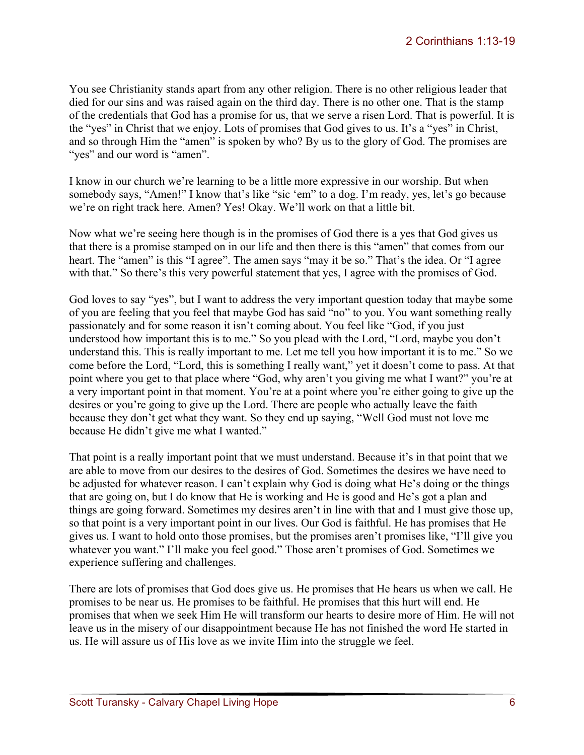You see Christianity stands apart from any other religion. There is no other religious leader that died for our sins and was raised again on the third day. There is no other one. That is the stamp of the credentials that God has a promise for us, that we serve a risen Lord. That is powerful. It is the "yes" in Christ that we enjoy. Lots of promises that God gives to us. It's a "yes" in Christ, and so through Him the "amen" is spoken by who? By us to the glory of God. The promises are "yes" and our word is "amen".

I know in our church we're learning to be a little more expressive in our worship. But when somebody says, "Amen!" I know that's like "sic 'em" to a dog. I'm ready, yes, let's go because we're on right track here. Amen? Yes! Okay. We'll work on that a little bit.

Now what we're seeing here though is in the promises of God there is a yes that God gives us that there is a promise stamped on in our life and then there is this "amen" that comes from our heart. The "amen" is this "I agree". The amen says "may it be so." That's the idea. Or "I agree with that." So there's this very powerful statement that yes, I agree with the promises of God.

God loves to say "yes", but I want to address the very important question today that maybe some of you are feeling that you feel that maybe God has said "no" to you. You want something really passionately and for some reason it isn't coming about. You feel like "God, if you just understood how important this is to me." So you plead with the Lord, "Lord, maybe you don't understand this. This is really important to me. Let me tell you how important it is to me." So we come before the Lord, "Lord, this is something I really want," yet it doesn't come to pass. At that point where you get to that place where "God, why aren't you giving me what I want?" you're at a very important point in that moment. You're at a point where you're either going to give up the desires or you're going to give up the Lord. There are people who actually leave the faith because they don't get what they want. So they end up saying, "Well God must not love me because He didn't give me what I wanted."

That point is a really important point that we must understand. Because it's in that point that we are able to move from our desires to the desires of God. Sometimes the desires we have need to be adjusted for whatever reason. I can't explain why God is doing what He's doing or the things that are going on, but I do know that He is working and He is good and He's got a plan and things are going forward. Sometimes my desires aren't in line with that and I must give those up, so that point is a very important point in our lives. Our God is faithful. He has promises that He gives us. I want to hold onto those promises, but the promises aren't promises like, "I'll give you whatever you want." I'll make you feel good." Those aren't promises of God. Sometimes we experience suffering and challenges.

There are lots of promises that God does give us. He promises that He hears us when we call. He promises to be near us. He promises to be faithful. He promises that this hurt will end. He promises that when we seek Him He will transform our hearts to desire more of Him. He will not leave us in the misery of our disappointment because He has not finished the word He started in us. He will assure us of His love as we invite Him into the struggle we feel.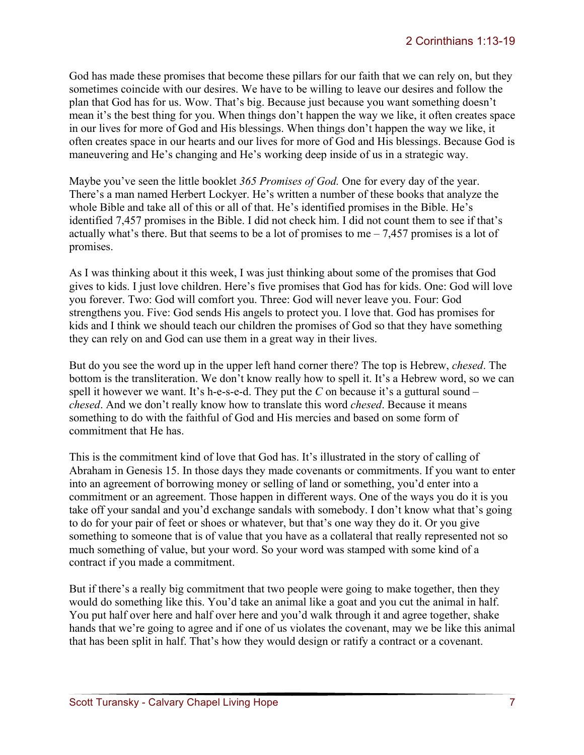God has made these promises that become these pillars for our faith that we can rely on, but they sometimes coincide with our desires. We have to be willing to leave our desires and follow the plan that God has for us. Wow. That's big. Because just because you want something doesn't mean it's the best thing for you. When things don't happen the way we like, it often creates space in our lives for more of God and His blessings. When things don't happen the way we like, it often creates space in our hearts and our lives for more of God and His blessings. Because God is maneuvering and He's changing and He's working deep inside of us in a strategic way.

Maybe you've seen the little booklet *365 Promises of God.* One for every day of the year. There's a man named Herbert Lockyer. He's written a number of these books that analyze the whole Bible and take all of this or all of that. He's identified promises in the Bible. He's identified 7,457 promises in the Bible. I did not check him. I did not count them to see if that's actually what's there. But that seems to be a lot of promises to me  $-7,457$  promises is a lot of promises.

As I was thinking about it this week, I was just thinking about some of the promises that God gives to kids. I just love children. Here's five promises that God has for kids. One: God will love you forever. Two: God will comfort you. Three: God will never leave you. Four: God strengthens you. Five: God sends His angels to protect you. I love that. God has promises for kids and I think we should teach our children the promises of God so that they have something they can rely on and God can use them in a great way in their lives.

But do you see the word up in the upper left hand corner there? The top is Hebrew, *chesed*. The bottom is the transliteration. We don't know really how to spell it. It's a Hebrew word, so we can spell it however we want. It's h-e-s-e-d. They put the *C* on because it's a guttural sound – *chesed*. And we don't really know how to translate this word *chesed*. Because it means something to do with the faithful of God and His mercies and based on some form of commitment that He has.

This is the commitment kind of love that God has. It's illustrated in the story of calling of Abraham in Genesis 15. In those days they made covenants or commitments. If you want to enter into an agreement of borrowing money or selling of land or something, you'd enter into a commitment or an agreement. Those happen in different ways. One of the ways you do it is you take off your sandal and you'd exchange sandals with somebody. I don't know what that's going to do for your pair of feet or shoes or whatever, but that's one way they do it. Or you give something to someone that is of value that you have as a collateral that really represented not so much something of value, but your word. So your word was stamped with some kind of a contract if you made a commitment.

But if there's a really big commitment that two people were going to make together, then they would do something like this. You'd take an animal like a goat and you cut the animal in half. You put half over here and half over here and you'd walk through it and agree together, shake hands that we're going to agree and if one of us violates the covenant, may we be like this animal that has been split in half. That's how they would design or ratify a contract or a covenant.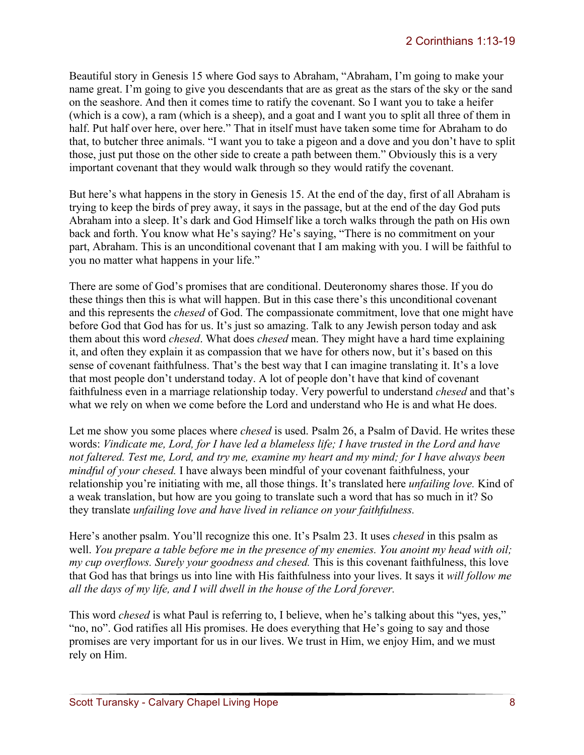Beautiful story in Genesis 15 where God says to Abraham, "Abraham, I'm going to make your name great. I'm going to give you descendants that are as great as the stars of the sky or the sand on the seashore. And then it comes time to ratify the covenant. So I want you to take a heifer (which is a cow), a ram (which is a sheep), and a goat and I want you to split all three of them in half. Put half over here, over here." That in itself must have taken some time for Abraham to do that, to butcher three animals. "I want you to take a pigeon and a dove and you don't have to split those, just put those on the other side to create a path between them." Obviously this is a very important covenant that they would walk through so they would ratify the covenant.

But here's what happens in the story in Genesis 15. At the end of the day, first of all Abraham is trying to keep the birds of prey away, it says in the passage, but at the end of the day God puts Abraham into a sleep. It's dark and God Himself like a torch walks through the path on His own back and forth. You know what He's saying? He's saying, "There is no commitment on your part, Abraham. This is an unconditional covenant that I am making with you. I will be faithful to you no matter what happens in your life."

There are some of God's promises that are conditional. Deuteronomy shares those. If you do these things then this is what will happen. But in this case there's this unconditional covenant and this represents the *chesed* of God. The compassionate commitment, love that one might have before God that God has for us. It's just so amazing. Talk to any Jewish person today and ask them about this word *chesed*. What does *chesed* mean. They might have a hard time explaining it, and often they explain it as compassion that we have for others now, but it's based on this sense of covenant faithfulness. That's the best way that I can imagine translating it. It's a love that most people don't understand today. A lot of people don't have that kind of covenant faithfulness even in a marriage relationship today. Very powerful to understand *chesed* and that's what we rely on when we come before the Lord and understand who He is and what He does.

Let me show you some places where *chesed* is used. Psalm 26, a Psalm of David. He writes these words: *Vindicate me, Lord, for I have led a blameless life; I have trusted in the Lord and have not faltered. Test me, Lord, and try me, examine my heart and my mind; for I have always been mindful of your chesed.* I have always been mindful of your covenant faithfulness, your relationship you're initiating with me, all those things. It's translated here *unfailing love.* Kind of a weak translation, but how are you going to translate such a word that has so much in it? So they translate *unfailing love and have lived in reliance on your faithfulness.*

Here's another psalm. You'll recognize this one. It's Psalm 23. It uses *chesed* in this psalm as well. *You prepare a table before me in the presence of my enemies. You anoint my head with oil; my cup overflows. Surely your goodness and chesed.* This is this covenant faithfulness, this love that God has that brings us into line with His faithfulness into your lives. It says it *will follow me all the days of my life, and I will dwell in the house of the Lord forever.* 

This word *chesed* is what Paul is referring to, I believe, when he's talking about this "yes, yes," "no, no". God ratifies all His promises. He does everything that He's going to say and those promises are very important for us in our lives. We trust in Him, we enjoy Him, and we must rely on Him.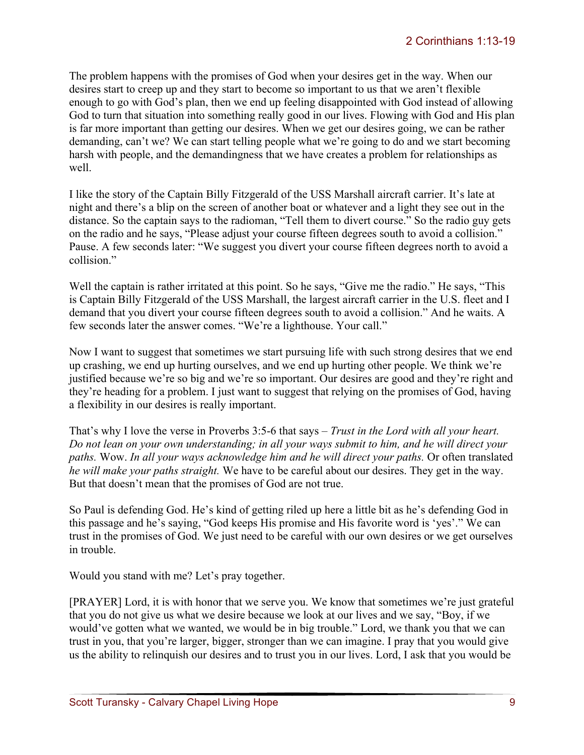The problem happens with the promises of God when your desires get in the way. When our desires start to creep up and they start to become so important to us that we aren't flexible enough to go with God's plan, then we end up feeling disappointed with God instead of allowing God to turn that situation into something really good in our lives. Flowing with God and His plan is far more important than getting our desires. When we get our desires going, we can be rather demanding, can't we? We can start telling people what we're going to do and we start becoming harsh with people, and the demandingness that we have creates a problem for relationships as well.

I like the story of the Captain Billy Fitzgerald of the USS Marshall aircraft carrier. It's late at night and there's a blip on the screen of another boat or whatever and a light they see out in the distance. So the captain says to the radioman, "Tell them to divert course." So the radio guy gets on the radio and he says, "Please adjust your course fifteen degrees south to avoid a collision." Pause. A few seconds later: "We suggest you divert your course fifteen degrees north to avoid a collision<sup>"</sup>

Well the captain is rather irritated at this point. So he says, "Give me the radio." He says, "This is Captain Billy Fitzgerald of the USS Marshall, the largest aircraft carrier in the U.S. fleet and I demand that you divert your course fifteen degrees south to avoid a collision." And he waits. A few seconds later the answer comes. "We're a lighthouse. Your call."

Now I want to suggest that sometimes we start pursuing life with such strong desires that we end up crashing, we end up hurting ourselves, and we end up hurting other people. We think we're justified because we're so big and we're so important. Our desires are good and they're right and they're heading for a problem. I just want to suggest that relying on the promises of God, having a flexibility in our desires is really important.

That's why I love the verse in Proverbs 3:5-6 that says – *Trust in the Lord with all your heart. Do not lean on your own understanding; in all your ways submit to him, and he will direct your paths.* Wow. *In all your ways acknowledge him and he will direct your paths.* Or often translated *he will make your paths straight.* We have to be careful about our desires. They get in the way. But that doesn't mean that the promises of God are not true.

So Paul is defending God. He's kind of getting riled up here a little bit as he's defending God in this passage and he's saying, "God keeps His promise and His favorite word is 'yes'." We can trust in the promises of God. We just need to be careful with our own desires or we get ourselves in trouble.

Would you stand with me? Let's pray together.

[PRAYER] Lord, it is with honor that we serve you. We know that sometimes we're just grateful that you do not give us what we desire because we look at our lives and we say, "Boy, if we would've gotten what we wanted, we would be in big trouble." Lord, we thank you that we can trust in you, that you're larger, bigger, stronger than we can imagine. I pray that you would give us the ability to relinquish our desires and to trust you in our lives. Lord, I ask that you would be